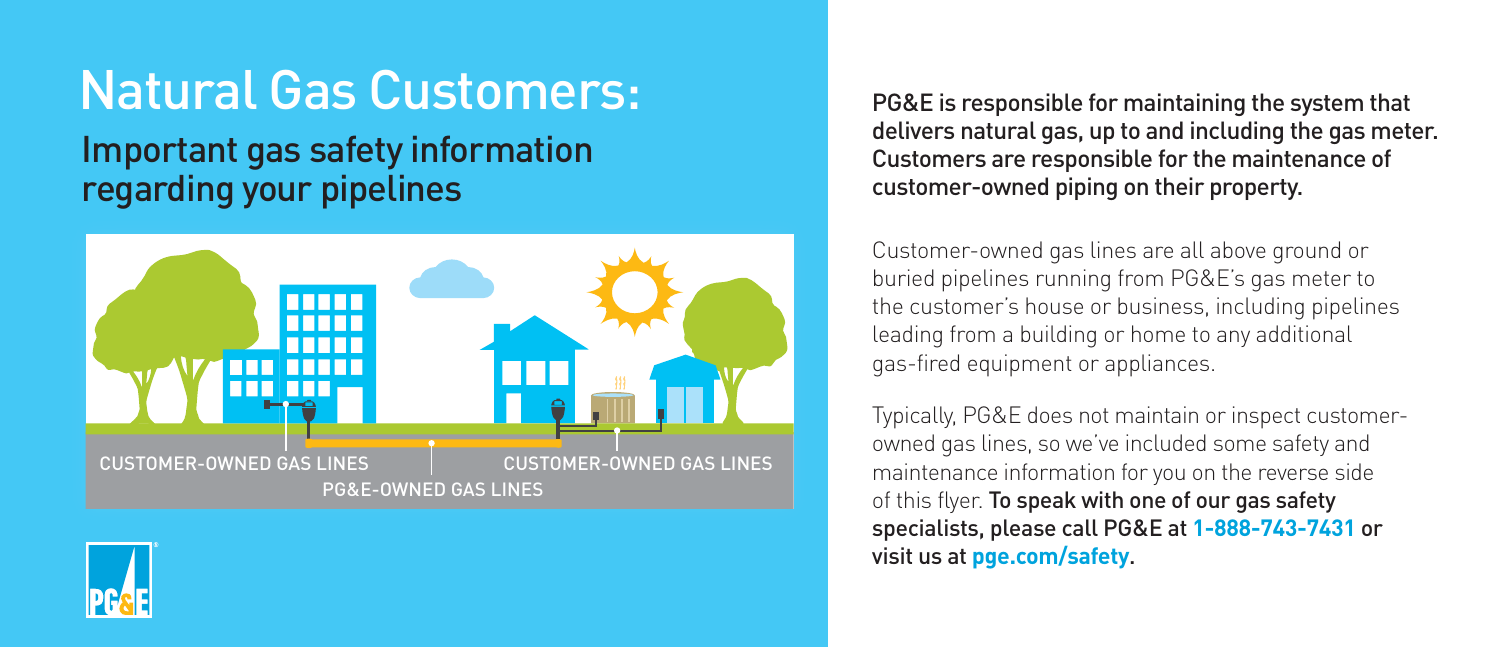# Natural Gas Customers: Important gas safety information regarding your pipelines





Customer-owned gas lines are all above ground or buried pipelines running from PG&E's gas meter to the customer's house or business, including pipelines leading from a building or home to any additional gas-fired equipment or appliances.

Typically, PG&E does not maintain or inspect customerowned gas lines, so we've included some safety and maintenance information for you on the reverse side of this flyer. To speak with one of our gas safety specialists, please call PG&E at **1-888-743-7431** or visit us at **[pge.com/safety](https://www.pge.com/en_US/safety/safety.page?WT.mc_id=Vanity_safety)**.